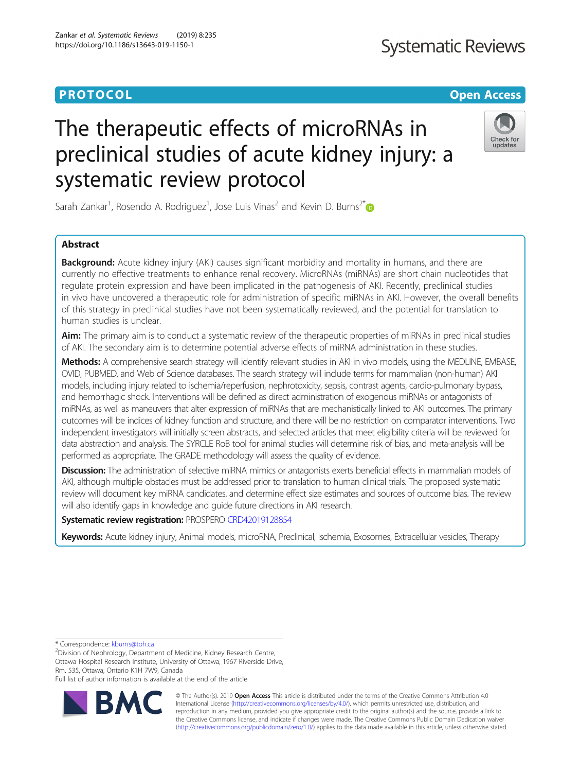# The therapeutic effects of microRNAs in preclinical studies of acute kidney injury: a systematic review protocol

Sarah Zankar<sup>1</sup>, Rosendo A. Rodriguez<sup>1</sup>, Jose Luis Vinas<sup>2</sup> and Kevin D. Burns<sup>2\*</sup>

# Abstract

**Background:** Acute kidney injury (AKI) causes significant morbidity and mortality in humans, and there are currently no effective treatments to enhance renal recovery. MicroRNAs (miRNAs) are short chain nucleotides that regulate protein expression and have been implicated in the pathogenesis of AKI. Recently, preclinical studies in vivo have uncovered a therapeutic role for administration of specific miRNAs in AKI. However, the overall benefits of this strategy in preclinical studies have not been systematically reviewed, and the potential for translation to human studies is unclear.

Aim: The primary aim is to conduct a systematic review of the therapeutic properties of miRNAs in preclinical studies of AKI. The secondary aim is to determine potential adverse effects of miRNA administration in these studies.

Methods: A comprehensive search strategy will identify relevant studies in AKI in vivo models, using the MEDLINE, EMBASE, OVID, PUBMED, and Web of Science databases. The search strategy will include terms for mammalian (non-human) AKI models, including injury related to ischemia/reperfusion, nephrotoxicity, sepsis, contrast agents, cardio-pulmonary bypass, and hemorrhagic shock. Interventions will be defined as direct administration of exogenous miRNAs or antagonists of miRNAs, as well as maneuvers that alter expression of miRNAs that are mechanistically linked to AKI outcomes. The primary outcomes will be indices of kidney function and structure, and there will be no restriction on comparator interventions. Two independent investigators will initially screen abstracts, and selected articles that meet eligibility criteria will be reviewed for data abstraction and analysis. The SYRCLE RoB tool for animal studies will determine risk of bias, and meta-analysis will be performed as appropriate. The GRADE methodology will assess the quality of evidence.

Discussion: The administration of selective miRNA mimics or antagonists exerts beneficial effects in mammalian models of AKI, although multiple obstacles must be addressed prior to translation to human clinical trials. The proposed systematic review will document key miRNA candidates, and determine effect size estimates and sources of outcome bias. The review will also identify gaps in knowledge and guide future directions in AKI research.

# Systematic review registration: PROSPERO [CRD42019128854](http://www.crd.york.ac.uk/prospero)

Keywords: Acute kidney injury, Animal models, microRNA, Preclinical, Ischemia, Exosomes, Extracellular vesicles, Therapy

\* Correspondence: [kburns@toh.ca](mailto:kburns@toh.ca) <sup>2</sup>

 $2$ Division of Nephrology, Department of Medicine, Kidney Research Centre, Ottawa Hospital Research Institute, University of Ottawa, 1967 Riverside Drive, Rm. 535, Ottawa, Ontario K1H 7W9, Canada

Full list of author information is available at the end of the article



© The Author(s). 2019 **Open Access** This article is distributed under the terms of the Creative Commons Attribution 4.0 International License [\(http://creativecommons.org/licenses/by/4.0/](http://creativecommons.org/licenses/by/4.0/)), which permits unrestricted use, distribution, and reproduction in any medium, provided you give appropriate credit to the original author(s) and the source, provide a link to the Creative Commons license, and indicate if changes were made. The Creative Commons Public Domain Dedication waiver [\(http://creativecommons.org/publicdomain/zero/1.0/](http://creativecommons.org/publicdomain/zero/1.0/)) applies to the data made available in this article, unless otherwise stated.





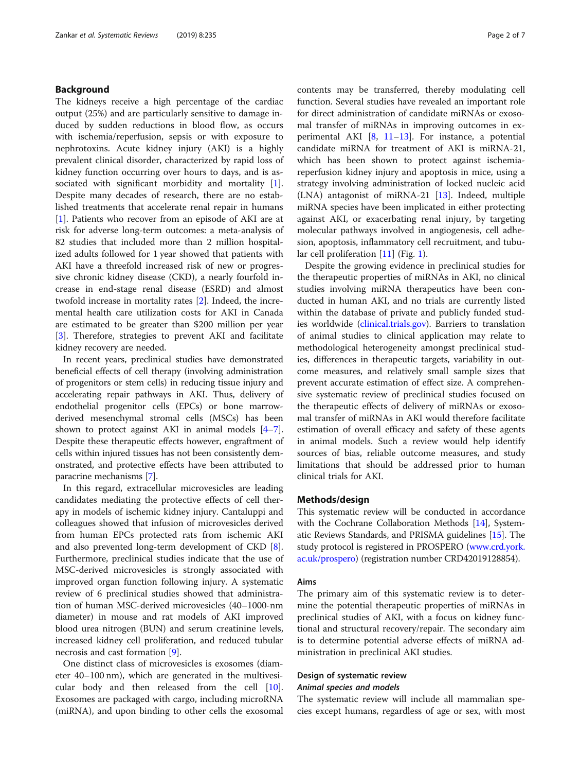# Background

The kidneys receive a high percentage of the cardiac output (25%) and are particularly sensitive to damage induced by sudden reductions in blood flow, as occurs with ischemia/reperfusion, sepsis or with exposure to nephrotoxins. Acute kidney injury (AKI) is a highly prevalent clinical disorder, characterized by rapid loss of kidney function occurring over hours to days, and is as-sociated with significant morbidity and mortality [\[1](#page-6-0)]. Despite many decades of research, there are no established treatments that accelerate renal repair in humans [[1\]](#page-6-0). Patients who recover from an episode of AKI are at risk for adverse long-term outcomes: a meta-analysis of 82 studies that included more than 2 million hospitalized adults followed for 1 year showed that patients with AKI have a threefold increased risk of new or progressive chronic kidney disease (CKD), a nearly fourfold increase in end-stage renal disease (ESRD) and almost twofold increase in mortality rates [[2\]](#page-6-0). Indeed, the incremental health care utilization costs for AKI in Canada are estimated to be greater than \$200 million per year [[3\]](#page-6-0). Therefore, strategies to prevent AKI and facilitate kidney recovery are needed.

In recent years, preclinical studies have demonstrated beneficial effects of cell therapy (involving administration of progenitors or stem cells) in reducing tissue injury and accelerating repair pathways in AKI. Thus, delivery of endothelial progenitor cells (EPCs) or bone marrowderived mesenchymal stromal cells (MSCs) has been shown to protect against AKI in animal models [[4](#page-6-0)–[7](#page-6-0)]. Despite these therapeutic effects however, engraftment of cells within injured tissues has not been consistently demonstrated, and protective effects have been attributed to paracrine mechanisms [[7\]](#page-6-0).

In this regard, extracellular microvesicles are leading candidates mediating the protective effects of cell therapy in models of ischemic kidney injury. Cantaluppi and colleagues showed that infusion of microvesicles derived from human EPCs protected rats from ischemic AKI and also prevented long-term development of CKD [\[8](#page-6-0)]. Furthermore, preclinical studies indicate that the use of MSC-derived microvesicles is strongly associated with improved organ function following injury. A systematic review of 6 preclinical studies showed that administration of human MSC-derived microvesicles (40–1000-nm diameter) in mouse and rat models of AKI improved blood urea nitrogen (BUN) and serum creatinine levels, increased kidney cell proliferation, and reduced tubular necrosis and cast formation [\[9\]](#page-6-0).

One distinct class of microvesicles is exosomes (diameter 40–100 nm), which are generated in the multivesicular body and then released from the cell [\[10](#page-6-0)]. Exosomes are packaged with cargo, including microRNA (miRNA), and upon binding to other cells the exosomal contents may be transferred, thereby modulating cell function. Several studies have revealed an important role for direct administration of candidate miRNAs or exosomal transfer of miRNAs in improving outcomes in experimental AKI [[8,](#page-6-0) [11](#page-6-0)–[13](#page-6-0)]. For instance, a potential candidate miRNA for treatment of AKI is miRNA-21, which has been shown to protect against ischemiareperfusion kidney injury and apoptosis in mice, using a strategy involving administration of locked nucleic acid (LNA) antagonist of miRNA-21 [\[13](#page-6-0)]. Indeed, multiple miRNA species have been implicated in either protecting against AKI, or exacerbating renal injury, by targeting molecular pathways involved in angiogenesis, cell adhesion, apoptosis, inflammatory cell recruitment, and tubu-lar cell proliferation [[11\]](#page-6-0) (Fig. [1](#page-2-0)).

Despite the growing evidence in preclinical studies for the therapeutic properties of miRNAs in AKI, no clinical studies involving miRNA therapeutics have been conducted in human AKI, and no trials are currently listed within the database of private and publicly funded studies worldwide [\(clinical.trials.gov\)](http://clinical.trials.gov). Barriers to translation of animal studies to clinical application may relate to methodological heterogeneity amongst preclinical studies, differences in therapeutic targets, variability in outcome measures, and relatively small sample sizes that prevent accurate estimation of effect size. A comprehensive systematic review of preclinical studies focused on the therapeutic effects of delivery of miRNAs or exosomal transfer of miRNAs in AKI would therefore facilitate estimation of overall efficacy and safety of these agents in animal models. Such a review would help identify sources of bias, reliable outcome measures, and study limitations that should be addressed prior to human clinical trials for AKI.

# Methods/design

This systematic review will be conducted in accordance with the Cochrane Collaboration Methods [[14](#page-6-0)], Systematic Reviews Standards, and PRISMA guidelines [[15](#page-6-0)]. The study protocol is registered in PROSPERO [\(www.crd.york.](http://www.crd.york.ac.uk/prospero)) [ac.uk/prospero](http://www.crd.york.ac.uk/prospero))) (registration number CRD42019128854).

#### Aims

The primary aim of this systematic review is to determine the potential therapeutic properties of miRNAs in preclinical studies of AKI, with a focus on kidney functional and structural recovery/repair. The secondary aim is to determine potential adverse effects of miRNA administration in preclinical AKI studies.

# Design of systematic review Animal species and models

The systematic review will include all mammalian species except humans, regardless of age or sex, with most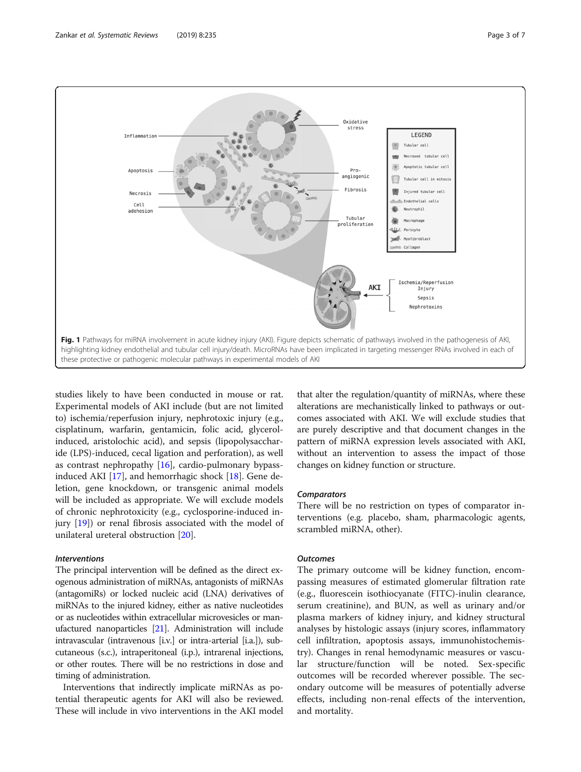

<span id="page-2-0"></span>

studies likely to have been conducted in mouse or rat. Experimental models of AKI include (but are not limited to) ischemia/reperfusion injury, nephrotoxic injury (e.g., cisplatinum, warfarin, gentamicin, folic acid, glycerolinduced, aristolochic acid), and sepsis (lipopolysaccharide (LPS)-induced, cecal ligation and perforation), as well as contrast nephropathy  $[16]$  $[16]$ , cardio-pulmonary bypassinduced AKI [[17\]](#page-6-0), and hemorrhagic shock [[18\]](#page-6-0). Gene deletion, gene knockdown, or transgenic animal models will be included as appropriate. We will exclude models of chronic nephrotoxicity (e.g., cyclosporine-induced injury [[19](#page-6-0)]) or renal fibrosis associated with the model of unilateral ureteral obstruction [[20](#page-6-0)].

# Interventions

The principal intervention will be defined as the direct exogenous administration of miRNAs, antagonists of miRNAs (antagomiRs) or locked nucleic acid (LNA) derivatives of miRNAs to the injured kidney, either as native nucleotides or as nucleotides within extracellular microvesicles or manufactured nanoparticles [\[21](#page-6-0)]. Administration will include intravascular (intravenous [i.v.] or intra-arterial [i.a.]), subcutaneous (s.c.), intraperitoneal (i.p.), intrarenal injections, or other routes. There will be no restrictions in dose and timing of administration.

Interventions that indirectly implicate miRNAs as potential therapeutic agents for AKI will also be reviewed. These will include in vivo interventions in the AKI model

that alter the regulation/quantity of miRNAs, where these alterations are mechanistically linked to pathways or outcomes associated with AKI. We will exclude studies that are purely descriptive and that document changes in the pattern of miRNA expression levels associated with AKI, without an intervention to assess the impact of those changes on kidney function or structure.

# **Comparators**

There will be no restriction on types of comparator interventions (e.g. placebo, sham, pharmacologic agents, scrambled miRNA, other).

# **Outcomes**

The primary outcome will be kidney function, encompassing measures of estimated glomerular filtration rate (e.g., fluorescein isothiocyanate (FITC)-inulin clearance, serum creatinine), and BUN, as well as urinary and/or plasma markers of kidney injury, and kidney structural analyses by histologic assays (injury scores, inflammatory cell infiltration, apoptosis assays, immunohistochemistry). Changes in renal hemodynamic measures or vascular structure/function will be noted. Sex-specific outcomes will be recorded wherever possible. The secondary outcome will be measures of potentially adverse effects, including non-renal effects of the intervention, and mortality.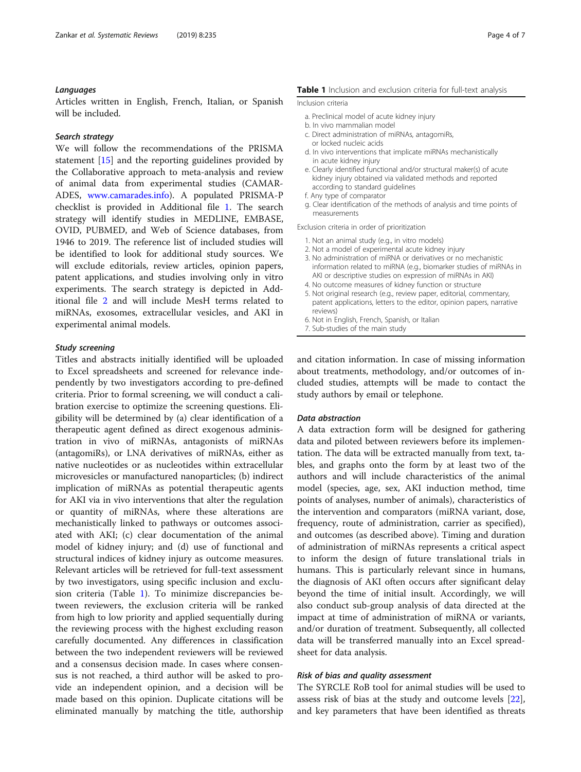# Languages

Articles written in English, French, Italian, or Spanish will be included.

# Search strategy

We will follow the recommendations of the PRISMA statement [[15](#page-6-0)] and the reporting guidelines provided by the Collaborative approach to meta-analysis and review of animal data from experimental studies (CAMAR-ADES, [www.camarades.info\)](http://www.camarades.info). A populated PRISMA-P checklist is provided in Additional file [1](#page-5-0). The search strategy will identify studies in MEDLINE, EMBASE, OVID, PUBMED, and Web of Science databases, from 1946 to 2019. The reference list of included studies will be identified to look for additional study sources. We will exclude editorials, review articles, opinion papers, patent applications, and studies involving only in vitro experiments. The search strategy is depicted in Additional file [2](#page-5-0) and will include MesH terms related to miRNAs, exosomes, extracellular vesicles, and AKI in experimental animal models.

# Study screening

Titles and abstracts initially identified will be uploaded to Excel spreadsheets and screened for relevance independently by two investigators according to pre-defined criteria. Prior to formal screening, we will conduct a calibration exercise to optimize the screening questions. Eligibility will be determined by (a) clear identification of a therapeutic agent defined as direct exogenous administration in vivo of miRNAs, antagonists of miRNAs (antagomiRs), or LNA derivatives of miRNAs, either as native nucleotides or as nucleotides within extracellular microvesicles or manufactured nanoparticles; (b) indirect implication of miRNAs as potential therapeutic agents for AKI via in vivo interventions that alter the regulation or quantity of miRNAs, where these alterations are mechanistically linked to pathways or outcomes associated with AKI; (c) clear documentation of the animal model of kidney injury; and (d) use of functional and structural indices of kidney injury as outcome measures. Relevant articles will be retrieved for full-text assessment by two investigators, using specific inclusion and exclusion criteria (Table 1). To minimize discrepancies between reviewers, the exclusion criteria will be ranked from high to low priority and applied sequentially during the reviewing process with the highest excluding reason carefully documented. Any differences in classification between the two independent reviewers will be reviewed and a consensus decision made. In cases where consensus is not reached, a third author will be asked to provide an independent opinion, and a decision will be made based on this opinion. Duplicate citations will be eliminated manually by matching the title, authorship

# Table 1 Inclusion and exclusion criteria for full-text analysis

#### Inclusion criteria

- a. Preclinical model of acute kidney injury
- b. In vivo mammalian model
- c. Direct administration of miRNAs, antagomiRs, or locked nucleic acids
- d. In vivo interventions that implicate miRNAs mechanistically in acute kidney injury
- e. Clearly identified functional and/or structural maker(s) of acute kidney injury obtained via validated methods and reported according to standard guidelines
- f. Any type of comparator
- g. Clear identification of the methods of analysis and time points of measurements

Exclusion criteria in order of prioritization

- 1. Not an animal study (e.g., in vitro models)
- 2. Not a model of experimental acute kidney injury
- 3. No administration of miRNA or derivatives or no mechanistic information related to miRNA (e.g., biomarker studies of miRNAs in AKI or descriptive studies on expression of miRNAs in AKI)
- 4. No outcome measures of kidney function or structure
- 5. Not original research (e.g., review paper, editorial, commentary, patent applications, letters to the editor, opinion papers, narrative reviews)
- 6. Not in English, French, Spanish, or Italian
- 7. Sub-studies of the main study

and citation information. In case of missing information about treatments, methodology, and/or outcomes of included studies, attempts will be made to contact the study authors by email or telephone.

# Data abstraction

A data extraction form will be designed for gathering data and piloted between reviewers before its implementation. The data will be extracted manually from text, tables, and graphs onto the form by at least two of the authors and will include characteristics of the animal model (species, age, sex, AKI induction method, time points of analyses, number of animals), characteristics of the intervention and comparators (miRNA variant, dose, frequency, route of administration, carrier as specified), and outcomes (as described above). Timing and duration of administration of miRNAs represents a critical aspect to inform the design of future translational trials in humans. This is particularly relevant since in humans, the diagnosis of AKI often occurs after significant delay beyond the time of initial insult. Accordingly, we will also conduct sub-group analysis of data directed at the impact at time of administration of miRNA or variants, and/or duration of treatment. Subsequently, all collected data will be transferred manually into an Excel spreadsheet for data analysis.

#### Risk of bias and quality assessment

The SYRCLE RoB tool for animal studies will be used to assess risk of bias at the study and outcome levels [\[22](#page-6-0)], and key parameters that have been identified as threats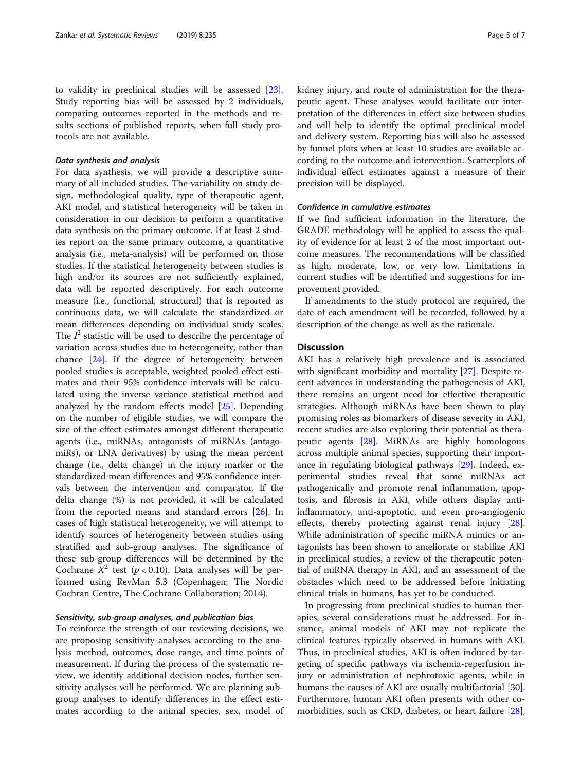to validity in preclinical studies will be assessed [\[23](#page-6-0)]. Study reporting bias will be assessed by 2 individuals, comparing outcomes reported in the methods and results sections of published reports, when full study protocols are not available.

# Data synthesis and analysis

For data synthesis, we will provide a descriptive summary of all included studies. The variability on study design, methodological quality, type of therapeutic agent, AKI model, and statistical heterogeneity will be taken in consideration in our decision to perform a quantitative data synthesis on the primary outcome. If at least 2 studies report on the same primary outcome, a quantitative analysis (i.e., meta-analysis) will be performed on those studies. If the statistical heterogeneity between studies is high and/or its sources are not sufficiently explained, data will be reported descriptively. For each outcome measure (i.e., functional, structural) that is reported as continuous data, we will calculate the standardized or mean differences depending on individual study scales. The  $I^2$  statistic will be used to describe the percentage of variation across studies due to heterogeneity, rather than chance [[24](#page-6-0)]. If the degree of heterogeneity between pooled studies is acceptable, weighted pooled effect estimates and their 95% confidence intervals will be calculated using the inverse variance statistical method and analyzed by the random effects model [[25](#page-6-0)]. Depending on the number of eligible studies, we will compare the size of the effect estimates amongst different therapeutic agents (i.e., miRNAs, antagonists of miRNAs (antagomiRs), or LNA derivatives) by using the mean percent change (i.e., delta change) in the injury marker or the standardized mean differences and 95% confidence intervals between the intervention and comparator. If the delta change (%) is not provided, it will be calculated from the reported means and standard errors [[26\]](#page-6-0). In cases of high statistical heterogeneity, we will attempt to identify sources of heterogeneity between studies using stratified and sub-group analyses. The significance of these sub-group differences will be determined by the Cochrane  $X^2$  test ( $p < 0.10$ ). Data analyses will be performed using RevMan 5.3 (Copenhagen; The Nordic Cochran Centre, The Cochrane Collaboration; 2014).

#### Sensitivity, sub-group analyses, and publication bias

To reinforce the strength of our reviewing decisions, we are proposing sensitivity analyses according to the analysis method, outcomes, dose range, and time points of measurement. If during the process of the systematic review, we identify additional decision nodes, further sensitivity analyses will be performed. We are planning subgroup analyses to identify differences in the effect estimates according to the animal species, sex, model of kidney injury, and route of administration for the therapeutic agent. These analyses would facilitate our interpretation of the differences in effect size between studies and will help to identify the optimal preclinical model and delivery system. Reporting bias will also be assessed by funnel plots when at least 10 studies are available according to the outcome and intervention. Scatterplots of individual effect estimates against a measure of their precision will be displayed.

# Confidence in cumulative estimates

If we find sufficient information in the literature, the GRADE methodology will be applied to assess the quality of evidence for at least 2 of the most important outcome measures. The recommendations will be classified as high, moderate, low, or very low. Limitations in current studies will be identified and suggestions for improvement provided.

If amendments to the study protocol are required, the date of each amendment will be recorded, followed by a description of the change as well as the rationale.

# **Discussion**

AKI has a relatively high prevalence and is associated with significant morbidity and mortality [\[27\]](#page-6-0). Despite recent advances in understanding the pathogenesis of AKI, there remains an urgent need for effective therapeutic strategies. Although miRNAs have been shown to play promising roles as biomarkers of disease severity in AKI, recent studies are also exploring their potential as therapeutic agents [[28](#page-6-0)]. MiRNAs are highly homologous across multiple animal species, supporting their importance in regulating biological pathways [\[29](#page-6-0)]. Indeed, experimental studies reveal that some miRNAs act pathogenically and promote renal inflammation, apoptosis, and fibrosis in AKI, while others display antiinflammatory, anti-apoptotic, and even pro-angiogenic effects, thereby protecting against renal injury [\[28](#page-6-0)]. While administration of specific miRNA mimics or antagonists has been shown to ameliorate or stabilize AKI in preclinical studies, a review of the therapeutic potential of miRNA therapy in AKI, and an assessment of the obstacles which need to be addressed before initiating clinical trials in humans, has yet to be conducted.

In progressing from preclinical studies to human therapies, several considerations must be addressed. For instance, animal models of AKI may not replicate the clinical features typically observed in humans with AKI. Thus, in preclinical studies, AKI is often induced by targeting of specific pathways via ischemia-reperfusion injury or administration of nephrotoxic agents, while in humans the causes of AKI are usually multifactorial [\[30](#page-6-0)]. Furthermore, human AKI often presents with other comorbidities, such as CKD, diabetes, or heart failure [\[28](#page-6-0)],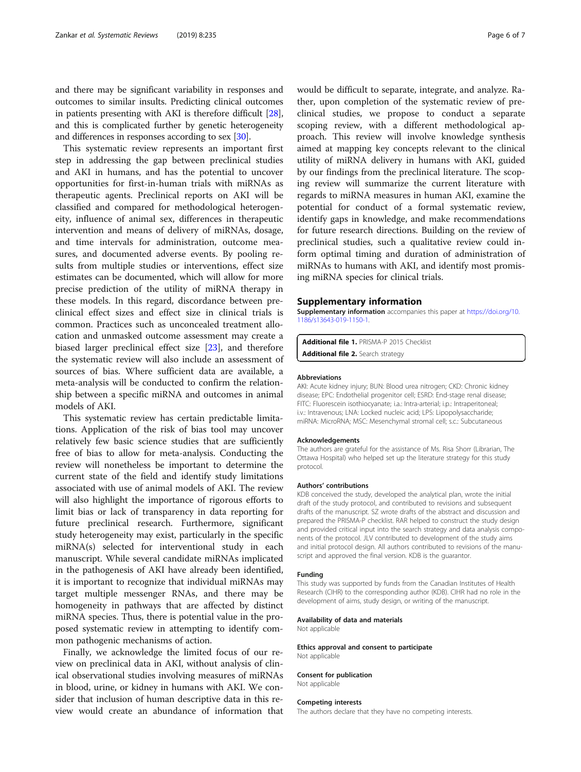<span id="page-5-0"></span>and there may be significant variability in responses and outcomes to similar insults. Predicting clinical outcomes in patients presenting with AKI is therefore difficult [[28](#page-6-0)], and this is complicated further by genetic heterogeneity and differences in responses according to sex [\[30](#page-6-0)].

This systematic review represents an important first step in addressing the gap between preclinical studies and AKI in humans, and has the potential to uncover opportunities for first-in-human trials with miRNAs as therapeutic agents. Preclinical reports on AKI will be classified and compared for methodological heterogeneity, influence of animal sex, differences in therapeutic intervention and means of delivery of miRNAs, dosage, and time intervals for administration, outcome measures, and documented adverse events. By pooling results from multiple studies or interventions, effect size estimates can be documented, which will allow for more precise prediction of the utility of miRNA therapy in these models. In this regard, discordance between preclinical effect sizes and effect size in clinical trials is common. Practices such as unconcealed treatment allocation and unmasked outcome assessment may create a biased larger preclinical effect size [\[23](#page-6-0)], and therefore the systematic review will also include an assessment of sources of bias. Where sufficient data are available, a meta-analysis will be conducted to confirm the relationship between a specific miRNA and outcomes in animal models of AKI.

This systematic review has certain predictable limitations. Application of the risk of bias tool may uncover relatively few basic science studies that are sufficiently free of bias to allow for meta-analysis. Conducting the review will nonetheless be important to determine the current state of the field and identify study limitations associated with use of animal models of AKI. The review will also highlight the importance of rigorous efforts to limit bias or lack of transparency in data reporting for future preclinical research. Furthermore, significant study heterogeneity may exist, particularly in the specific miRNA(s) selected for interventional study in each manuscript. While several candidate miRNAs implicated in the pathogenesis of AKI have already been identified, it is important to recognize that individual miRNAs may target multiple messenger RNAs, and there may be homogeneity in pathways that are affected by distinct miRNA species. Thus, there is potential value in the proposed systematic review in attempting to identify common pathogenic mechanisms of action.

Finally, we acknowledge the limited focus of our review on preclinical data in AKI, without analysis of clinical observational studies involving measures of miRNAs in blood, urine, or kidney in humans with AKI. We consider that inclusion of human descriptive data in this review would create an abundance of information that

would be difficult to separate, integrate, and analyze. Rather, upon completion of the systematic review of preclinical studies, we propose to conduct a separate scoping review, with a different methodological approach. This review will involve knowledge synthesis aimed at mapping key concepts relevant to the clinical utility of miRNA delivery in humans with AKI, guided by our findings from the preclinical literature. The scoping review will summarize the current literature with regards to miRNA measures in human AKI, examine the potential for conduct of a formal systematic review, identify gaps in knowledge, and make recommendations for future research directions. Building on the review of preclinical studies, such a qualitative review could inform optimal timing and duration of administration of miRNAs to humans with AKI, and identify most promising miRNA species for clinical trials.

#### Supplementary information

Supplementary information accompanies this paper at [https://doi.org/10.](https://doi.org/10.1186/s13643-019-1150-1) [1186/s13643-019-1150-1.](https://doi.org/10.1186/s13643-019-1150-1)

Additional file 1. PRISMA-P 2015 Checklist Additional file 2. Search strategy

#### Abbreviations

AKI: Acute kidney injury; BUN: Blood urea nitrogen; CKD: Chronic kidney disease; EPC: Endothelial progenitor cell; ESRD: End-stage renal disease; FITC: Fluorescein isothiocyanate; i.a.: Intra-arterial; i.p.: Intraperitoneal; i.v.: Intravenous; LNA: Locked nucleic acid; LPS: Lipopolysaccharide; miRNA: MicroRNA; MSC: Mesenchymal stromal cell; s.c.: Subcutaneous

#### Acknowledgements

The authors are grateful for the assistance of Ms. Risa Shorr (Librarian, The Ottawa Hospital) who helped set up the literature strategy for this study protocol.

#### Authors' contributions

KDB conceived the study, developed the analytical plan, wrote the initial draft of the study protocol, and contributed to revisions and subsequent drafts of the manuscript. SZ wrote drafts of the abstract and discussion and prepared the PRISMA-P checklist. RAR helped to construct the study design and provided critical input into the search strategy and data analysis components of the protocol. JLV contributed to development of the study aims and initial protocol design. All authors contributed to revisions of the manuscript and approved the final version. KDB is the guarantor.

#### Funding

This study was supported by funds from the Canadian Institutes of Health Research (CIHR) to the corresponding author (KDB). CIHR had no role in the development of aims, study design, or writing of the manuscript.

#### Availability of data and materials

Not applicable

#### Ethics approval and consent to participate Not applicable

# Consent for publication

Not applicable

#### Competing interests

The authors declare that they have no competing interests.